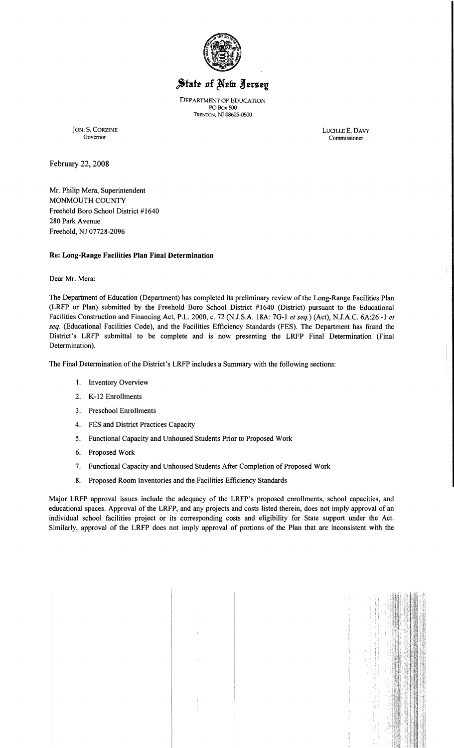

# State of New Jersey

DEPARTMENT OF EDUCATION PO Box 500 TRENTON, NJ 08625-0500

JON. S. CORZINE LUCILLE E. DAVY

Governor Commissioner Commissioner

February 22,2008

Mr. Philip Mera, Superintendent MONMOUTH COUNTY Freehold Boro School District #1640 280 Park Avenue Freehold, NJ 07728-2096

## Re: Long-Range Facilities Plan Final Determination

Dear Mr. Mera:

The Department of Education (Department) has completed its preliminary review of the Long-Range Facilities Plan (LRFP or Plan) submitted by the Freehold Boro School District #1640 (District) pursuant to the Educational Facilities Construction and Financing Act, P.L. 2000, c. 72 (N.J.S.A. 18A: 7G-I *et seq.)* (Act), NJ.A.C. 6A:26 -I *et seq.* (Educational Facilities Code), and the Facilities Efficiency Standards (FES). The Department has found the District's LRFP submittal to be complete and is now presenting the LRFP Final Determination (Final Determination).

The Final Determination of the District's LRFP includes a Summary with the following sections:

- I. Inventory Overview
- 2. K-12 Enrollments
- 3. Preschool Enrollments
- 4. FES and District Practices Capacity
- 5. Functional Capacity and Unhoused Students Prior to Proposed Work
- 6. Proposed Work
- 7. Functional Capacity and Unhoused Students After Completion of Proposed Work
- 8. Proposed Room Inventories and the Facilities Efficiency Standards

Major LRFP approval issues include the adequacy of the LRFP's proposed enrollments, school capacities, and educational spaces. Approval of the LRFP, and any projects and costs listed therein, does not imply approval of an individual school facilities project or its corresponding costs and eligibility for State support under the Act. Similarly, approval of the LRFP does not imply approval of portions of the Plan that are inconsistent with the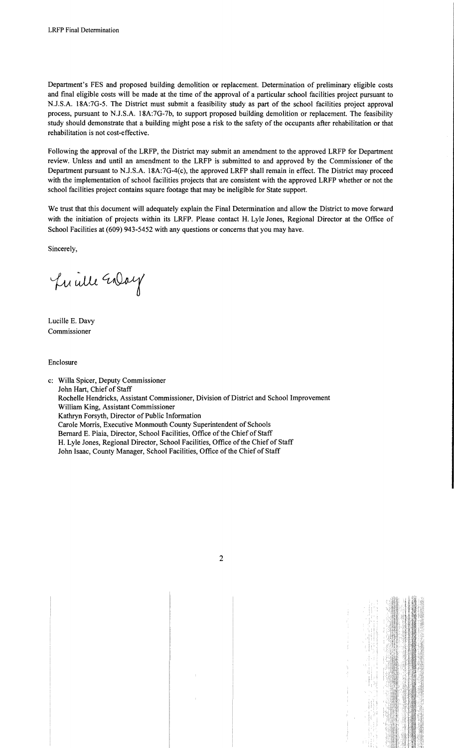Department's FES and proposed building demolition or replacement. Determination of preliminary eligible costs and final eligible costs will be made at the time of the approval of a particular school facilities project pursuant to NJ.S.A. 18A:7G-5. The District must submit a feasibility study as part of the school facilities project approval process, pursuant to NJ.S.A. 18A:7G-7b, to support proposed building demolition or replacement. The feasibility study should demonstrate that a building might pose a risk to the safety of the occupants after rehabilitation or that rehabilitation is not cost-effective.

Following the approval of the LRFP, the District may submit an amendment to the approved LRFP for Department review. Unless and until an amendment to the LRFP is submitted to and approved by the Commissioner of the Department pursuant to N.J.S.A. 18A:7G-4(c), the approved LRFP shall remain in effect. The District may proceed with the implementation of school facilities projects that are consistent with the approved LRFP whether or not the school facilities project contains square footage that may be ineligible for State support.

We trust that this document will adequately explain the Final Determination and allow the District to move forward with the initiation of projects within its LRFP. Please contact H. Lyle Jones, Regional Director at the Office of School Facilities at (609) 943-5452 with any questions or concerns that you may have.

Sincerely,

Lucille Enlay

Lucille E. Davy Commissioner

Enclosure

c: Willa Spicer, Deputy Commissioner John Hart, Chief of Staff Rochelle Hendricks, Assistant Commissioner, Division of District and School Improvement William King, Assistant Commissioner Kathryn Forsyth, Director of Public Information Carole Morris, Executive Monmouth County Superintendent of Schools Bernard E. Piaia, Director, School Facilities, Office of the Chief of Staff H. Lyle Jones, Regional Director, School Facilities, Office of the Chief of Staff John Isaac, County Manager, School Facilities, Office of the Chief of Staff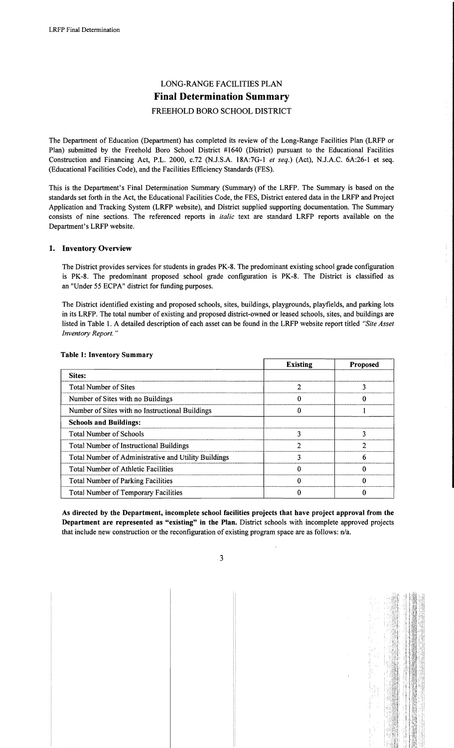# LONG-RANGE FACILITIES PLAN **Final Determination Summary**  FREEHOLD BORO SCHOOL DISTRICT

The Department of Education (Department) has completed its review of the Long-Range Facilities Plan (LRFP or Plan) submitted by the Freehold Boro School District #1640 (District) pursuant to the Educational Facilities Construction and Financing Act, P.L. 2000, c.72 (N.lS.A. 18A:7G-l *et seq.)* (Act), N.lA.C. 6A:26-1 et seq. (Educational Facilities Code), and the Facilities Efficiency Standards (FES).

This is the Department's Final Determination Summary (Summary) of the LRFP. The Summary is based on the standards set forth in the Act, the Educational Facilities Code, the FES, District entered data in the LRFP and Project Application and Tracking System (LRFP website), and District supplied supporting documentation. The Summary consists of nine sections. The referenced reports in *italic* text are standard LRFP reports available on the Department's LRFP website.

## 1. Inventory Overview

The District provides services for students in grades PK-8. The predominant existing school grade configuration is PK-8. The predominant proposed school grade configuration is PK-8. The District is classified as an "Under 55 ECPA" district for funding purposes.

The District identified existing and proposed schools, sites, buildings, playgrounds, playfields, and parking lots in its LRFP. The total number of existing and proposed district-owned or leased schools, sites, and buildings are listed in Table 1. A detailed description of each asset can be found in the LRFP website report titled *"Site Asset Inventory Report. "* 

|                                                      | <b>Existing</b> | <b>Proposed</b> |
|------------------------------------------------------|-----------------|-----------------|
| Sites:                                               |                 |                 |
| <b>Total Number of Sites</b>                         |                 |                 |
| Number of Sites with no Buildings                    |                 |                 |
| Number of Sites with no Instructional Buildings      |                 |                 |
| <b>Schools and Buildings:</b>                        |                 |                 |
| <b>Total Number of Schools</b>                       |                 | 3               |
| <b>Total Number of Instructional Buildings</b>       |                 |                 |
| Total Number of Administrative and Utility Buildings |                 |                 |
| <b>Total Number of Athletic Facilities</b>           |                 |                 |
| <b>Total Number of Parking Facilities</b>            |                 |                 |
| <b>Total Number of Temporary Facilities</b>          |                 |                 |

#### Table 1: Inventory Summary

As directed by the Department, incomplete school facilities projects that have project approval from the Department are represented as "existing" in the Plan. District schools with incomplete approved projects that include new construction or the reconfiguration of existing program space are as follows: n/a.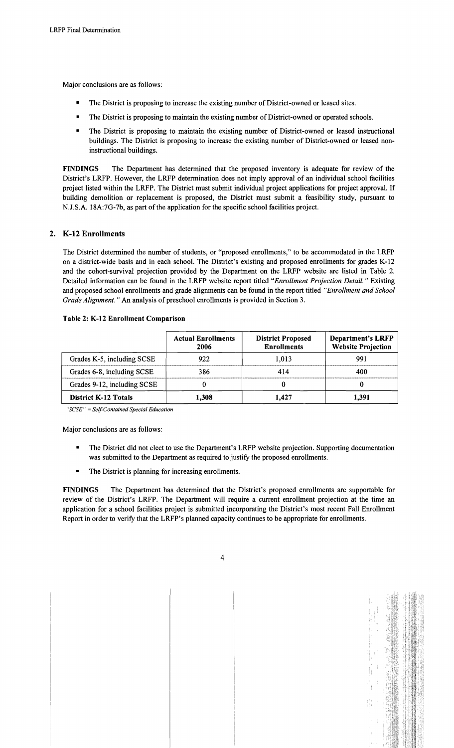Major conclusions are as follows:

- The District is proposing to increase the existing number of District-owned or leased sites.
- The District is proposing to maintain the existing number of District-owned or operated schools.
- The District is proposing to maintain the existing number of District-owned or leased instructional buildings. The District is proposing to increase the existing number of District-owned or leased noninstructional buildings.

FINDINGS The Department has determined that the proposed inventory is adequate for review of the District's LRFP. However, the LRFP determination does not imply approval of an individual school facilities project listed within the LRFP. The District must submit individual project applications for project approval. If building demolition or replacement is proposed, the District must submit a feasibility study, pursuant to N.J.S.A. 18A:7G-7b, as part of the application for the specific school facilities project.

# 2. K-12 Enrollments

The District determined the number of students, or "proposed enrollments," to be accommodated in the LRFP on a district-wide basis and in each school. The District's existing and proposed enrollments for grades K-12 and the cohort-survival projection provided by the Department on the LRFP website are listed in Table 2. Detailed information can be found in the LRFP website report titled "Enrollment Projection Detail." Existing and proposed school enrollments and grade alignments can be found in the report titled *"Enrollment and School Grade Alignment.* " An analysis of preschool enrollments is provided in Section 3.

| Table 2: K-12 Enrollment Comparison |
|-------------------------------------|
|-------------------------------------|

|                             | <b>Actual Enrollments</b><br>2006 | <b>District Proposed</b><br><b>Enrollments</b> | <b>Department's LRFP</b><br><b>Website Projection</b> |
|-----------------------------|-----------------------------------|------------------------------------------------|-------------------------------------------------------|
| Grades K-5, including SCSE  | 922                               | 1.013                                          | 991                                                   |
| Grades 6-8, including SCSE  | 386                               | 414                                            | 400                                                   |
| Grades 9-12, including SCSE |                                   |                                                |                                                       |
| <b>District K-12 Totals</b> | 1.308                             | 1.427                                          | 1.391                                                 |

*"SCSE"* = *Self-Contained Special Education* 

Major conclusions are as follows:

- The District did not elect to use the Department's LRFP website projection. Supporting documentation was submitted to the Department as required to justify the proposed enrollments.
- The District is planning for increasing enrollments.

FINDINGS The Department has determined that the District's proposed enrollments are supportable for review of the District's LRFP. The Department will require a current enrollment projection at the time an application for a school facilities project is submitted incorporating the District's most recent Fall Enrollment Report in order to verify that the LRFP's planned capacity continues to be appropriate for enrollments.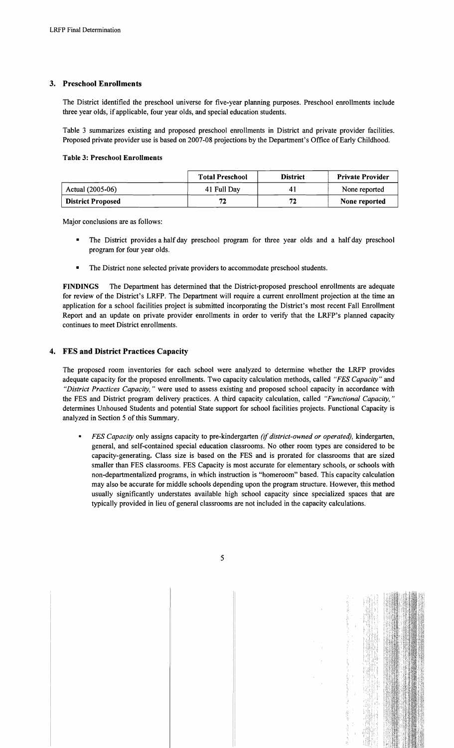# 3. Preschool Enrollments

The District identified the preschool universe for five-year planning purposes. Preschool enrollments include three year olds, if applicable, four year olds, and special education students.

Table 3 summarizes existing and proposed preschool enrollments in District and private provider facilities. Proposed private provider use is based on 2007-08 projections by the Department's Office of Early Childhood.

#### Table 3: Preschool Enrollments

|                          | <b>Total Preschool</b> | <b>District</b> | <b>Private Provider</b> |
|--------------------------|------------------------|-----------------|-------------------------|
| Actual (2005-06)         | 41 Full Day            |                 | None reported           |
| <b>District Proposed</b> | 72                     | 77              | None reported           |

Major conclusions are as follows:

- The District provides a half day preschool program for three year olds and a half day preschool program for four year olds.
- The District none selected private providers to accommodate preschool students.

FINDINGS The Department has determined that the District-proposed preschool enrollments are adequate for review of the District's LRFP. The Department will require a current enrollment projection at the time an application for a school facilities project is submitted incorporating the District's most recent Fall Enrollment Report and an update on private provider enrollments in order to verify that the LRFP's planned capacity continues to meet District enrollments.

# 4. FES and District Practices Capacity

The proposed room inventories for each school were analyzed to determine whether the LRFP provides adequate capacity for the proposed enrollments. Two capacity calculation methods, called *"FES Capacity"* and *"District Practices Capacity,* " were used to assess existing and proposed school capacity in accordance with the FES and District program delivery practices. A third capacity calculation, called *"Functional Capacity, "*  determines Unhoused Students and potential State support for school facilities projects. Functional Capacity is analyzed in Section 5 of this Summary.

*FES Capacity* only assigns capacity to pre-kindergarten *(if district-owned or operated)*, kindergarten, general, and self-contained special education classrooms. No other room types are considered to be capacity-generating. Class size is based on the FES and is prorated for classrooms that are sized smaller than FES classrooms. FES Capacity is most accurate for elementary schools, or schools with non-departmentalized programs, in which instruction is "homeroom" based. This capacity calculation may also be accurate for middle schools depending upon the program structure. However, this method usually significantly understates available high school capacity since specialized spaces that are typically provided in lieu of general classrooms are not included in the capacity calculations.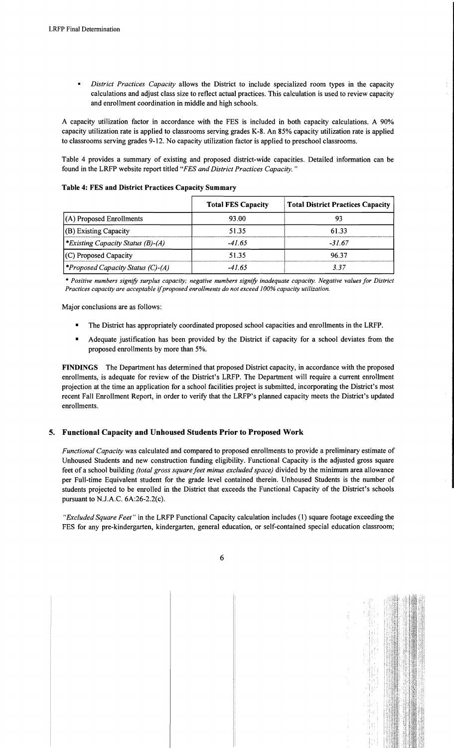*District Practices Capacity* allows the District to include specialized room types in the capacity calculations and adjust class size to reflect actual practices. This calculation is used to review capacity and enrollment coordination in middle and high schools.

A capacity utilization factor in accordance with the FES is included in both capacity calculations. A 90% capacity utilization rate is applied to classrooms serving grades K-8. An 85% capacity utilization rate is applied to classrooms serving grades 9-12. No capacity utilization factor is applied to preschool classrooms.

Table 4 provides a summary of existing and proposed district-wide capacities. Detailed information can be found in the LRFP website report titled *"FES and District Practices Capacity. "* 

**Table 4: FES and District Practices Capacity Summary** 

|                                                 | <b>Total FES Capacity</b> | <b>Total District Practices Capacity</b> |
|-------------------------------------------------|---------------------------|------------------------------------------|
| $(A)$ Proposed Enrollments                      | 93.00                     | 93                                       |
| $ $ (B) Existing Capacity                       | 51.35                     | 61.33                                    |
| <i>Existing Capacity Status (B)-(A)</i>         | -41.65                    | -31.67                                   |
| $(C)$ Proposed Capacity                         | 51.35                     | 96.37                                    |
| <i><b>*Proposed Capacity Status (C)-(A)</b></i> | $-41.65$                  | 337                                      |

*• Positive numbers signify surplus capacity; negative numbers signify inadequate capacity. Negative values for District Practices capacity are acceptable* if*proposed enrollments do not exceed 100% capacity utilization.* 

Major conclusions are as follows:

- The District has appropriately coordinated proposed school capacities and enrollments in the LRFP.
- Adequate justification has been provided by the District if capacity for a school deviates from the proposed enrollments by more than 5%.

**FINDINGS** The Department has determined that proposed District capacity, in accordance with the proposed enrollments, is adequate for review of the District's LRFP. The Department will require a current enrollment projection at the time an application for a school facilities project is submitted, incorporating the District's most recent Fall Enrollment Report, in order to verify that the LRFP's planned capacity meets the District's updated enrollments.

### **5. Functional Capacity and Unhoused Students Prior to Proposed Work**

*Functional Capacity* was calculated and compared to proposed enrollments to provide a preliminary estimate of Unhoused Students and new construction funding eligibility. Functional Capacity is the adjusted gross square feet of a school building *(total gross square feet minus excluded space)* divided by the minimum area allowance per Full-time Equivalent student for the grade level contained therein. Unhoused Students is the number of students projected to be enrolled in the District that exceeds the Functional Capacity of the District's schools pursuant to N.J.A.C. 6A:26-2.2(c).

*"Excluded Square Feet"* in the LRFP Functional Capacity calculation includes (1) square footage exceeding the FES for any pre-kindergarten, kindergarten, general education, or self-contained special education classroom;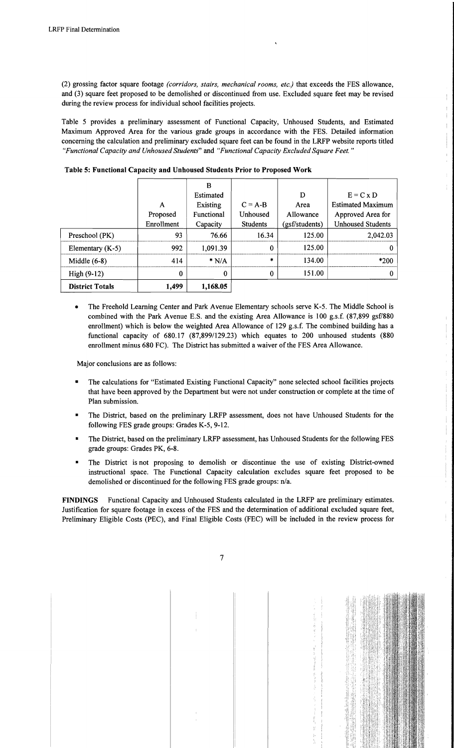(2) grossing factor square footage *(corridors, stairs, mechanical rooms, etc.)* that exceeds the FES allowance, and (3) square feet proposed to be demolished or discontinued from use. Excluded square feet may be revised during the review process for individual school facilities projects.

Table 5 provides a preliminary assessment of Functional Capacity, Unhoused Students, and Estimated Maximum Approved Area for the various grade groups in accordance with the FES. Detailed information concerning the calculation and preliminary excluded square feet can be found in the LRFP website reports titled *"Functional Capacity and Unhoused Students"* and *"Functional Capacity Excluded Square Feet."* 

|                        |            | B          |                  |                |                          |
|------------------------|------------|------------|------------------|----------------|--------------------------|
|                        |            | Estimated  |                  | D              | $E = C x D$              |
|                        | A          | Existing   | $C = A-B$        | Area           | <b>Estimated Maximum</b> |
|                        | Proposed   | Functional | Unhoused         | Allowance      | Approved Area for        |
|                        | Enrollment | Capacity   | <b>Students</b>  | (gsf/students) | <b>Unhoused Students</b> |
| Preschool (PK)         | 93         | 76.66      | 16.34            | 125.00         | 2,042.03                 |
| Elementary $(K-5)$     | 992        | 1,091.39   | $\boldsymbol{0}$ | 125.00         |                          |
| Middle $(6-8)$         | 414        | $*$ N/A    | 米                | 134.00         | *200                     |
| High $(9-12)$          | $\bf{0}$   | 0          | 0                | 151.00         |                          |
| <b>District Totals</b> | 1,499      | 1,168.05   |                  |                |                          |

Table 5: Functional Capacity and Unhoused Students Prior to Proposed Work

• The Freehold Learning Center and Park Avenue Elementary schools serve K-5. The Middle School is combined with the Park Avenue E.S. and the existing Area Allowance is 100 g.s.f. (87,899 gsf/880 enrollment) which is below the weighted Area Allowance of 129 g.s.f. The combined building has a functional capacity of 680.17 (87,899/129.23) which equates to 200 unhoused students (880 enrollment minus 680 FC). The District has submitted a waiver of the FES Area Allowance.

Major conclusions are as follows:

- The calculations for "Estimated Existing Functional Capacity" none selected school facilities projects that have been approved by the Department but were not under construction or complete at the time of Plan submission.
- The District, based on the preliminary LRFP assessment, does not have Unhoused Students for the following FES grade groups: Grades K-5, 9-12.
- The District, based on the preliminary LRFP assessment, has Unhoused Students for the following FES grade groups: Grades PK, 6-8.
- The District is not proposing to demolish or discontinue the use of existing District-owned instructional space. The Functional Capacity calculation excludes square feet proposed to be demolished or discontinued for the following FES grade groups: n/a.

FINDINGS Functional Capacity and Unhoused Students calculated in the LRFP are preliminary estimates. Justification for square footage in excess of the FES and the determination of additional excluded square feet, Preliminary Eligible Costs (PEC), and Final Eligible Costs (FEC) will be included in the review process for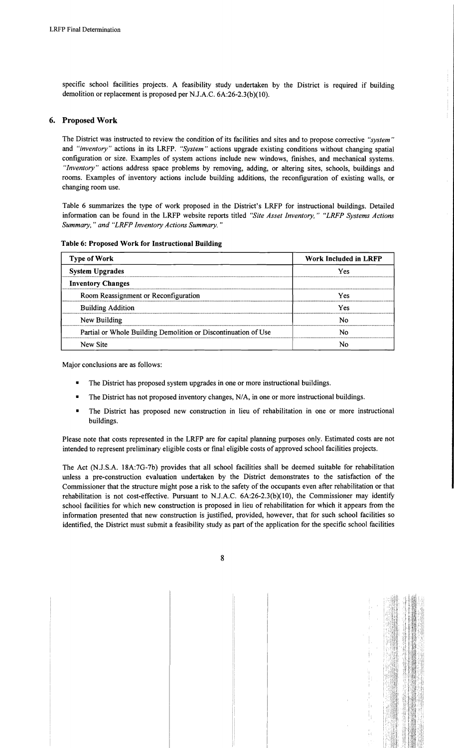specific school facilities projects. A feasibility study undertaken by the District is required if building demolition or replacement is proposed per NJ.A.C. 6A:26-2.3(b)(10).

## 6. Proposed Work

The District was instructed to review the condition of its facilities and sites and to propose corrective *"system"*  and *"inventory"* actions in its LRFP. *"System"* actions upgrade existing conditions without changing spatial configuration or size. Examples of system actions include new windows, finishes, and mechanical systems. *"Inventory"* actions address space problems by removing, adding, or altering sites, schools, buildings and rooms. Examples of inventory actions include building additions, the reconfiguration of existing walls, or changing room use.

Table 6 summarizes the type of work proposed in the District's LRFP for instructional buildings. Detailed information can be found in the LRFP website reports titled *"Site Asset Inventory," "LRFP Systems Actions Summary,* " *and "LRFP Inventory Actions Summary. "* 

| <b>Type of Work</b>                                            | Work Included in LRFP |  |  |
|----------------------------------------------------------------|-----------------------|--|--|
| <b>System Upgrades</b>                                         | Yes                   |  |  |
| <b>Inventory Changes</b>                                       |                       |  |  |
| Room Reassignment or Reconfiguration                           | Yes                   |  |  |
| <b>Building Addition</b>                                       | Yes                   |  |  |
| New Building                                                   | N٥                    |  |  |
| Partial or Whole Building Demolition or Discontinuation of Use | Nο                    |  |  |
| New Site                                                       |                       |  |  |

#### Table 6: Proposed Work for Instructional Building

Major conclusions are as follows:

- The District has proposed system upgrades in one or more instructional buildings.
- The District has not proposed inventory changes, N/A, in one or more instructional buildings.
- The District has proposed new construction in lieu of rehabilitation in one or more instructional buildings.

Please note that costs represented in the LRFP are for capital planning purposes only. Estimated costs are not intended to represent preliminary eligible costs or fmal eligible costs of approved school facilities projects.

The Act (N.J.S.A. 18A:7G-7b) provides that all school facilities shall be deemed suitable for rehabilitation unless a pre-construction evaluation undertaken by the District demonstrates to the satisfaction of the Commissioner that the structure might pose a risk to the safety of the occupants even after rehabilitation or that rehabilitation is not cost-effective. Pursuant to N.J.A.C.  $6A:26-2.3(b)(10)$ , the Commissioner may identify school facilities for which new construction is proposed in lieu of rehabilitation for which it appears from the information presented that new construction is justified, provided, however, that for such school facilities so identified, the District must submit a feasibility study as part of the application for the specific school facilities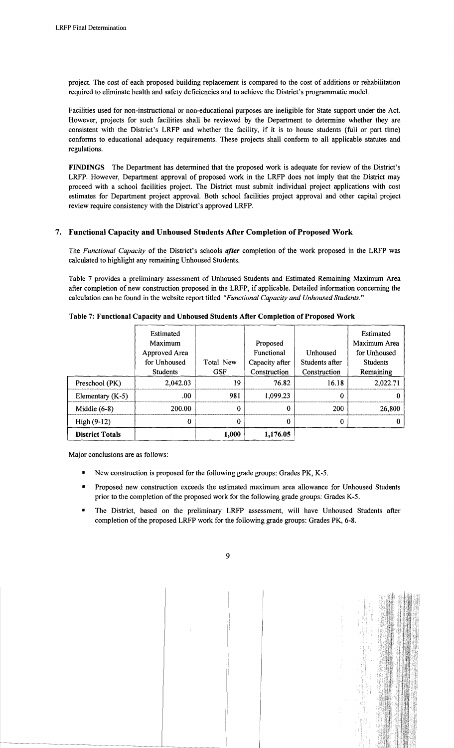project. The cost of each proposed building replacement is compared to the cost of additions or rehabilitation required to eliminate health and safety deficiencies and to achieve the District's programmatic model.

Facilities used for non-instructional or non-educational purposes are ineligible for State support under the Act. However, projects for such facilities shall be reviewed by the Department to detennine whether they are consistent with the District's LRFP and whether the facility, if it is to house students (full or part time) confonns to educational adequacy requirements. These projects shall confonn to all applicable statutes and regulations.

FINDINGS The Department has determined that the proposed work is adequate for review of the District's LRFP. However, Department approval of proposed work in the LRFP does not imply that the District may proceed with a school facilities project. The District must submit individual project applications with cost estimates for Department project approval. Both school facilities project approval and other capital project review require consistency with the District's approved LRFP.

# 7. Functional Capacity and Unhoused Students After Completion of Proposed Work

The *Functional Capacity* of the District's schools *after* completion of the work proposed in the LRFP was calculated to highlight any remaining Unhoused Students.

Table 7 provides a preliminary assessment of Unhoused Students and Estimated Remaining Maximum Area after completion of new construction proposed in the LRFP, if applicable. Detailed infonnation concerning the calculation can be found in the website report titled *"Functional Capacity and Unhoused Students. "* 

|                        | Estimated<br>Maximum<br>Approved Area<br>for Unhoused | Total New  | Proposed<br>Functional<br>Capacity after | Unhoused<br>Students after | Estimated<br>Maximum Area<br>for Unhoused<br><b>Students</b> |
|------------------------|-------------------------------------------------------|------------|------------------------------------------|----------------------------|--------------------------------------------------------------|
|                        | <b>Students</b>                                       | <b>GSF</b> | Construction                             | Construction               | Remaining                                                    |
| Preschool (PK)         | 2,042.03                                              | 19         | 76.82                                    | 16.18                      | 2,022.71                                                     |
| Elementary $(K-5)$     | .00                                                   | 981        | 1,099.23                                 | 0                          |                                                              |
| Middle $(6-8)$         | 200.00                                                | 0          | 0                                        | 200                        | 26,800                                                       |
| High $(9-12)$          | 0                                                     | 0          | 0                                        | 0                          |                                                              |
| <b>District Totals</b> |                                                       | 1,000      | 1,176.05                                 |                            |                                                              |

### Table 7: Functional Capacity and Unhoused Students After Completion of Proposed Work

Major conclusions are as follows:

- New construction is proposed for the following grade groups: Grades PK, K-5.
- Proposed new construction exceeds the estimated maximum area allowance for Unhoused Students prior to the completion of the proposed work for the following grade groups: Grades K-5.
- The District, based on the preliminary LRFP assessment, will have Unhoused Students after completion of the proposed LRFP work for the following grade groups: Grades PK, 6-8.